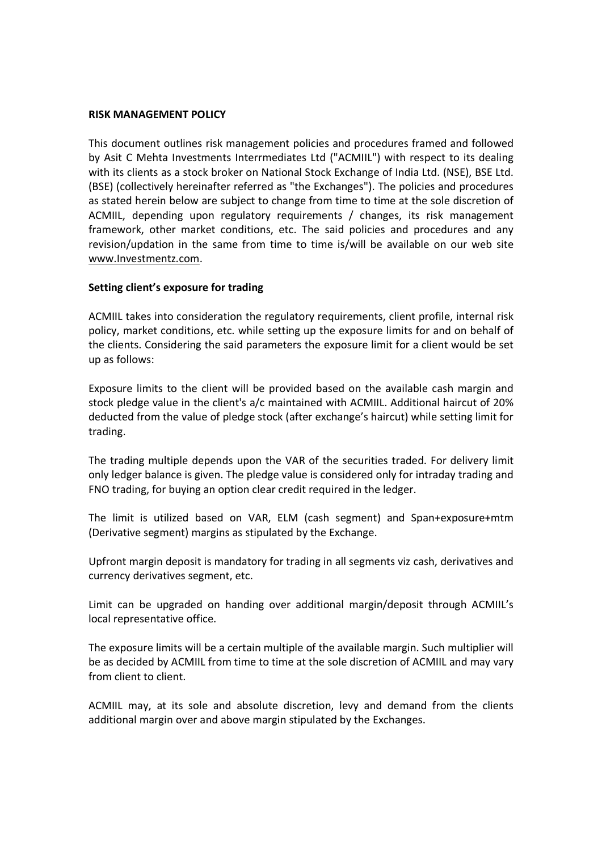### RISK MANAGEMENT POLICY

This document outlines risk management policies and procedures framed and followed by Asit C Mehta Investments Interrmediates Ltd ("ACMIIL") with respect to its dealing with its clients as a stock broker on National Stock Exchange of India Ltd. (NSE), BSE Ltd. (BSE) (collectively hereinafter referred as "the Exchanges"). The policies and procedures as stated herein below are subject to change from time to time at the sole discretion of ACMIIL, depending upon regulatory requirements / changes, its risk management framework, other market conditions, etc. The said policies and procedures and any revision/updation in the same from time to time is/will be available on our web site www.Investmentz.com.

## Setting client's exposure for trading

ACMIIL takes into consideration the regulatory requirements, client profile, internal risk policy, market conditions, etc. while setting up the exposure limits for and on behalf of the clients. Considering the said parameters the exposure limit for a client would be set up as follows:

Exposure limits to the client will be provided based on the available cash margin and stock pledge value in the client's a/c maintained with ACMIIL. Additional haircut of 20% deducted from the value of pledge stock (after exchange's haircut) while setting limit for trading.

The trading multiple depends upon the VAR of the securities traded. For delivery limit only ledger balance is given. The pledge value is considered only for intraday trading and FNO trading, for buying an option clear credit required in the ledger.

The limit is utilized based on VAR, ELM (cash segment) and Span+exposure+mtm (Derivative segment) margins as stipulated by the Exchange.

Upfront margin deposit is mandatory for trading in all segments viz cash, derivatives and currency derivatives segment, etc.

Limit can be upgraded on handing over additional margin/deposit through ACMIIL's local representative office.

The exposure limits will be a certain multiple of the available margin. Such multiplier will be as decided by ACMIIL from time to time at the sole discretion of ACMIIL and may vary from client to client.

ACMIIL may, at its sole and absolute discretion, levy and demand from the clients additional margin over and above margin stipulated by the Exchanges.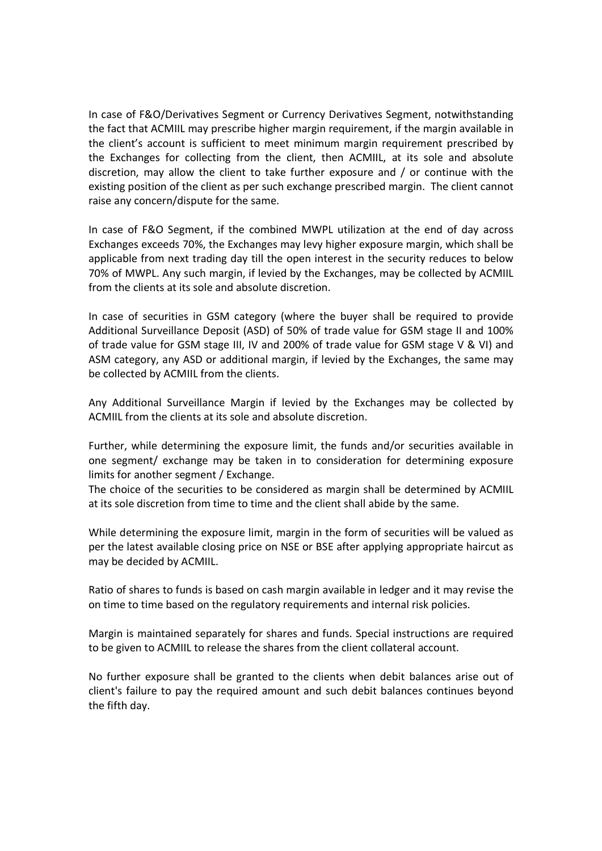In case of F&O/Derivatives Segment or Currency Derivatives Segment, notwithstanding the fact that ACMIIL may prescribe higher margin requirement, if the margin available in the client's account is sufficient to meet minimum margin requirement prescribed by the Exchanges for collecting from the client, then ACMIIL, at its sole and absolute discretion, may allow the client to take further exposure and / or continue with the existing position of the client as per such exchange prescribed margin. The client cannot raise any concern/dispute for the same.

In case of F&O Segment, if the combined MWPL utilization at the end of day across Exchanges exceeds 70%, the Exchanges may levy higher exposure margin, which shall be applicable from next trading day till the open interest in the security reduces to below 70% of MWPL. Any such margin, if levied by the Exchanges, may be collected by ACMIIL from the clients at its sole and absolute discretion.

In case of securities in GSM category (where the buyer shall be required to provide Additional Surveillance Deposit (ASD) of 50% of trade value for GSM stage II and 100% of trade value for GSM stage III, IV and 200% of trade value for GSM stage V & VI) and ASM category, any ASD or additional margin, if levied by the Exchanges, the same may be collected by ACMIIL from the clients.

Any Additional Surveillance Margin if levied by the Exchanges may be collected by ACMIIL from the clients at its sole and absolute discretion.

Further, while determining the exposure limit, the funds and/or securities available in one segment/ exchange may be taken in to consideration for determining exposure limits for another segment / Exchange.

The choice of the securities to be considered as margin shall be determined by ACMIIL at its sole discretion from time to time and the client shall abide by the same.

While determining the exposure limit, margin in the form of securities will be valued as per the latest available closing price on NSE or BSE after applying appropriate haircut as may be decided by ACMIIL.

Ratio of shares to funds is based on cash margin available in ledger and it may revise the on time to time based on the regulatory requirements and internal risk policies.

Margin is maintained separately for shares and funds. Special instructions are required to be given to ACMIIL to release the shares from the client collateral account.

No further exposure shall be granted to the clients when debit balances arise out of client's failure to pay the required amount and such debit balances continues beyond the fifth day.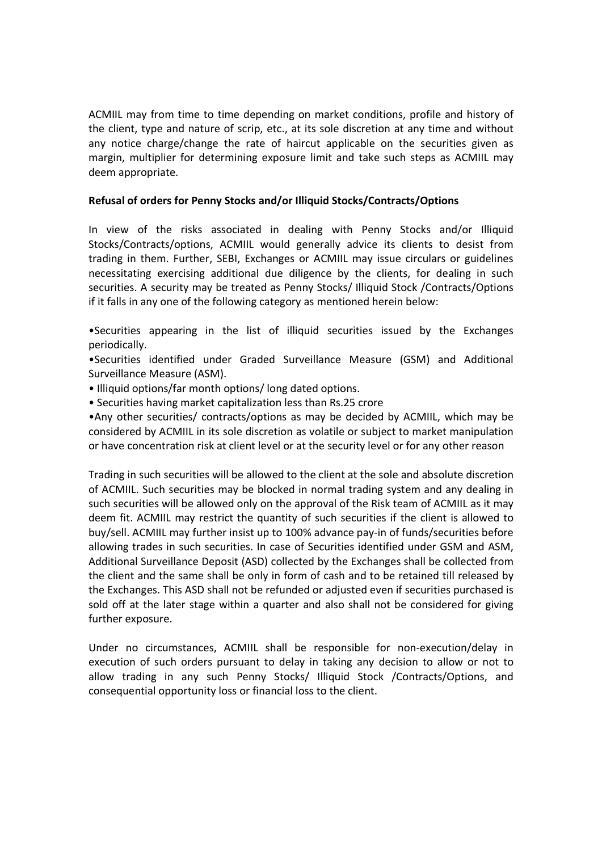ACMIIL may from time to time depending on market conditions, profile and history of the client, type and nature of scrip, etc., at its sole discretion at any time and without any notice charge/change the rate of haircut applicable on the securities given as margin, multiplier for determining exposure limit and take such steps as ACMIIL may deem appropriate.

## Refusal of orders for Penny Stocks and/or Illiquid Stocks/Contracts/Options

In view of the risks associated in dealing with Penny Stocks and/or Illiquid Stocks/Contracts/options, ACMIIL would generally advice its clients to desist from trading in them. Further, SEBI, Exchanges or ACMIIL may issue circulars or guidelines necessitating exercising additional due diligence by the clients, for dealing in such securities. A security may be treated as Penny Stocks/ Illiquid Stock /Contracts/Options if it falls in any one of the following category as mentioned herein below:

•Securities appearing in the list of illiquid securities issued by the Exchanges periodically.

•Securities identified under Graded Surveillance Measure (GSM) and Additional Surveillance Measure (ASM).

• Illiquid options/far month options/ long dated options.

• Securities having market capitalization less than Rs.25 crore

•Any other securities/ contracts/options as may be decided by ACMIIL, which may be considered by ACMIIL in its sole discretion as volatile or subject to market manipulation or have concentration risk at client level or at the security level or for any other reason

Trading in such securities will be allowed to the client at the sole and absolute discretion of ACMIIL. Such securities may be blocked in normal trading system and any dealing in such securities will be allowed only on the approval of the Risk team of ACMIIL as it may deem fit. ACMIIL may restrict the quantity of such securities if the client is allowed to buy/sell. ACMIIL may further insist up to 100% advance pay-in of funds/securities before allowing trades in such securities. In case of Securities identified under GSM and ASM, Additional Surveillance Deposit (ASD) collected by the Exchanges shall be collected from the client and the same shall be only in form of cash and to be retained till released by the Exchanges. This ASD shall not be refunded or adjusted even if securities purchased is sold off at the later stage within a quarter and also shall not be considered for giving further exposure.

Under no circumstances, ACMIIL shall be responsible for non-execution/delay in execution of such orders pursuant to delay in taking any decision to allow or not to allow trading in any such Penny Stocks/ Illiquid Stock /Contracts/Options, and consequential opportunity loss or financial loss to the client.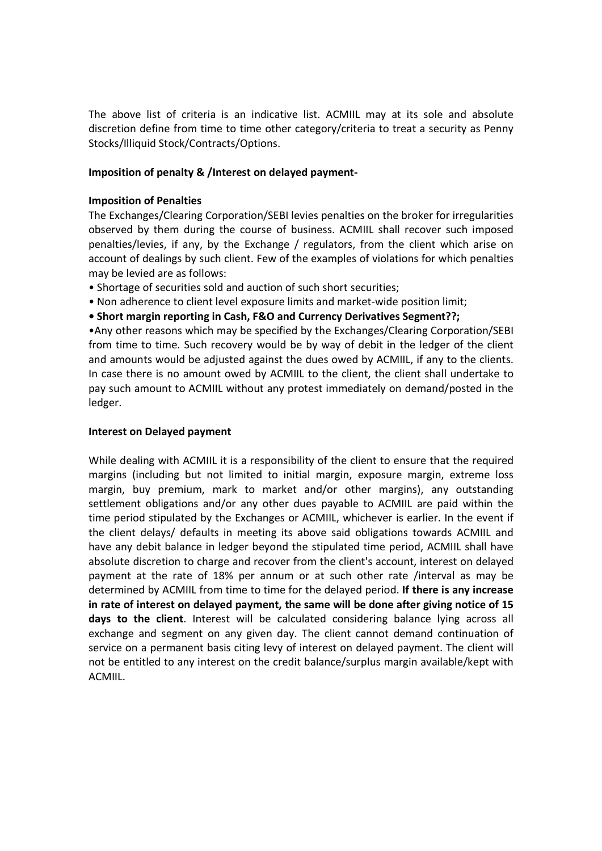The above list of criteria is an indicative list. ACMIIL may at its sole and absolute discretion define from time to time other category/criteria to treat a security as Penny Stocks/Illiquid Stock/Contracts/Options.

## Imposition of penalty & /Interest on delayed payment-

### Imposition of Penalties

The Exchanges/Clearing Corporation/SEBI levies penalties on the broker for irregularities observed by them during the course of business. ACMIIL shall recover such imposed penalties/levies, if any, by the Exchange / regulators, from the client which arise on account of dealings by such client. Few of the examples of violations for which penalties may be levied are as follows:

- Shortage of securities sold and auction of such short securities;
- Non adherence to client level exposure limits and market-wide position limit;
- Short margin reporting in Cash, F&O and Currency Derivatives Segment??;

•Any other reasons which may be specified by the Exchanges/Clearing Corporation/SEBI from time to time. Such recovery would be by way of debit in the ledger of the client and amounts would be adjusted against the dues owed by ACMIIL, if any to the clients. In case there is no amount owed by ACMIIL to the client, the client shall undertake to pay such amount to ACMIIL without any protest immediately on demand/posted in the ledger.

### Interest on Delayed payment

While dealing with ACMIIL it is a responsibility of the client to ensure that the required margins (including but not limited to initial margin, exposure margin, extreme loss margin, buy premium, mark to market and/or other margins), any outstanding settlement obligations and/or any other dues payable to ACMIIL are paid within the time period stipulated by the Exchanges or ACMIIL, whichever is earlier. In the event if the client delays/ defaults in meeting its above said obligations towards ACMIIL and have any debit balance in ledger beyond the stipulated time period, ACMIIL shall have absolute discretion to charge and recover from the client's account, interest on delayed payment at the rate of 18% per annum or at such other rate /interval as may be determined by ACMIIL from time to time for the delayed period. If there is any increase in rate of interest on delayed payment, the same will be done after giving notice of 15 days to the client. Interest will be calculated considering balance lying across all exchange and segment on any given day. The client cannot demand continuation of service on a permanent basis citing levy of interest on delayed payment. The client will not be entitled to any interest on the credit balance/surplus margin available/kept with ACMIIL.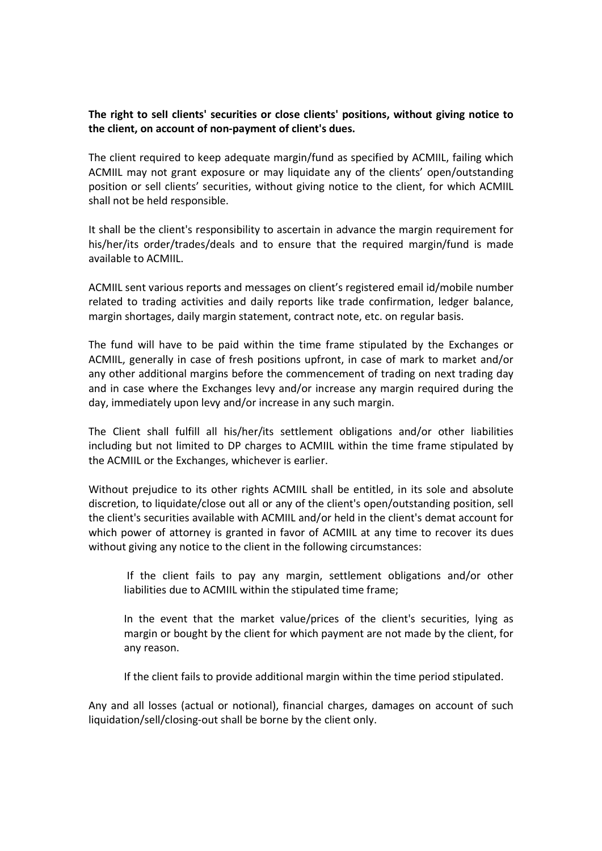# The right to selI clients' securities or close clients' positions, without giving notice to the client, on account of non-payment of client's dues.

The client required to keep adequate margin/fund as specified by ACMIIL, failing which ACMIIL may not grant exposure or may liquidate any of the clients' open/outstanding position or sell clients' securities, without giving notice to the client, for which ACMIIL shall not be held responsible.

It shall be the client's responsibility to ascertain in advance the margin requirement for his/her/its order/trades/deals and to ensure that the required margin/fund is made available to ACMIIL.

ACMIIL sent various reports and messages on client's registered email id/mobile number related to trading activities and daily reports like trade confirmation, ledger balance, margin shortages, daily margin statement, contract note, etc. on regular basis.

The fund will have to be paid within the time frame stipulated by the Exchanges or ACMIIL, generally in case of fresh positions upfront, in case of mark to market and/or any other additional margins before the commencement of trading on next trading day and in case where the Exchanges levy and/or increase any margin required during the day, immediately upon levy and/or increase in any such margin.

The Client shall fulfill all his/her/its settlement obligations and/or other liabilities including but not limited to DP charges to ACMIIL within the time frame stipulated by the ACMIIL or the Exchanges, whichever is earlier.

Without prejudice to its other rights ACMIIL shall be entitled, in its sole and absolute discretion, to liquidate/close out all or any of the client's open/outstanding position, sell the client's securities available with ACMIIL and/or held in the client's demat account for which power of attorney is granted in favor of ACMIIL at any time to recover its dues without giving any notice to the client in the following circumstances:

If the client fails to pay any margin, settlement obligations and/or other liabilities due to ACMIIL within the stipulated time frame;

In the event that the market value/prices of the client's securities, lying as margin or bought by the client for which payment are not made by the client, for any reason.

If the client fails to provide additional margin within the time period stipulated.

Any and all losses (actual or notional), financial charges, damages on account of such liquidation/sell/closing-out shall be borne by the client only.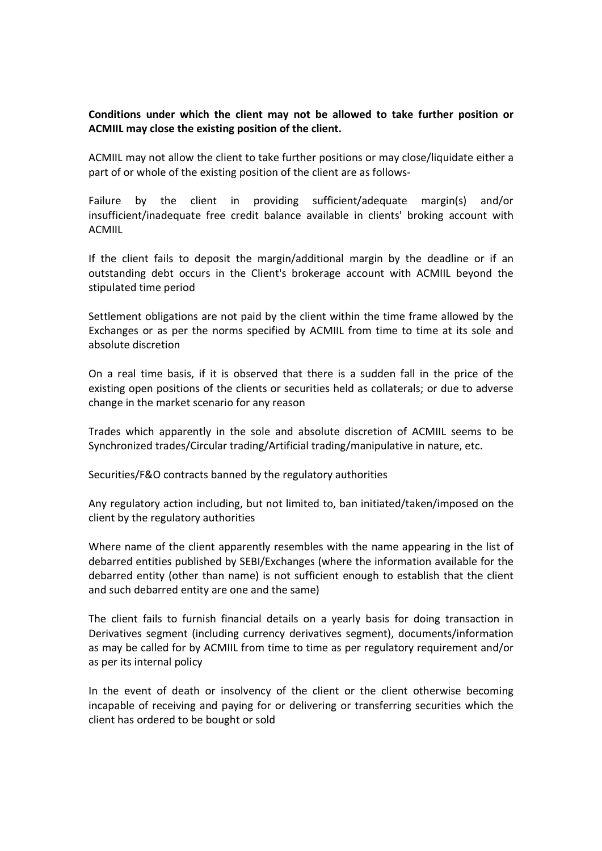# Conditions under which the client may not be allowed to take further position or ACMIIL may close the existing position of the client.

ACMIIL may not allow the client to take further positions or may close/liquidate either a part of or whole of the existing position of the client are as follows-

Failure by the client in providing sufficient/adequate margin(s) and/or insufficient/inadequate free credit balance available in clients' broking account with ACMIIL

If the client fails to deposit the margin/additional margin by the deadline or if an outstanding debt occurs in the Client's brokerage account with ACMIIL beyond the stipulated time period

Settlement obligations are not paid by the client within the time frame allowed by the Exchanges or as per the norms specified by ACMIIL from time to time at its sole and absolute discretion

On a real time basis, if it is observed that there is a sudden fall in the price of the existing open positions of the clients or securities held as collaterals; or due to adverse change in the market scenario for any reason

Trades which apparently in the sole and absolute discretion of ACMIIL seems to be Synchronized trades/Circular trading/Artificial trading/manipulative in nature, etc.

Securities/F&O contracts banned by the regulatory authorities

Any regulatory action including, but not limited to, ban initiated/taken/imposed on the client by the regulatory authorities

Where name of the client apparently resembles with the name appearing in the list of debarred entities published by SEBI/Exchanges (where the information available for the debarred entity (other than name) is not sufficient enough to establish that the client and such debarred entity are one and the same)

The client fails to furnish financial details on a yearly basis for doing transaction in Derivatives segment (including currency derivatives segment), documents/information as may be called for by ACMIIL from time to time as per regulatory requirement and/or as per its internal policy

In the event of death or insolvency of the client or the client otherwise becoming incapable of receiving and paying for or delivering or transferring securities which the client has ordered to be bought or sold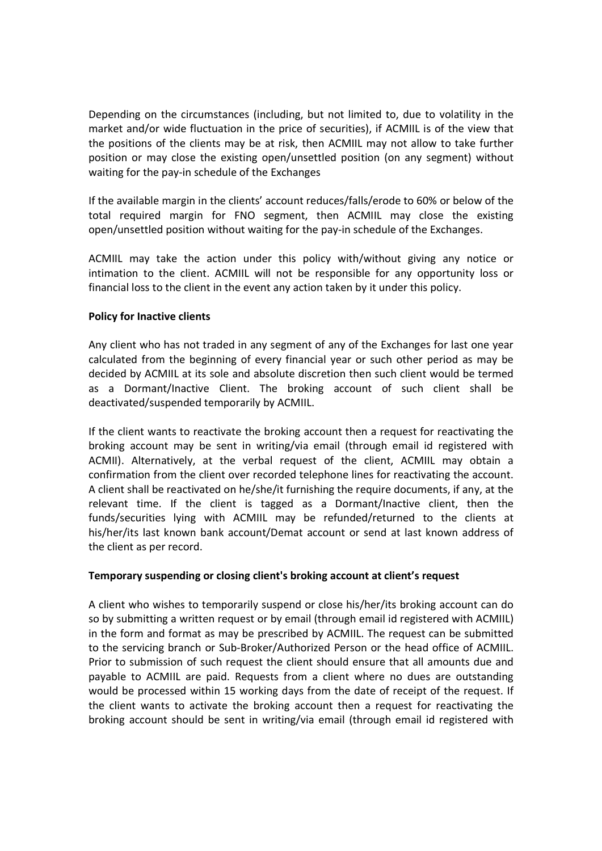Depending on the circumstances (including, but not limited to, due to volatility in the market and/or wide fluctuation in the price of securities), if ACMIIL is of the view that the positions of the clients may be at risk, then ACMIIL may not allow to take further position or may close the existing open/unsettled position (on any segment) without waiting for the pay-in schedule of the Exchanges

If the available margin in the clients' account reduces/falls/erode to 60% or below of the total required margin for FNO segment, then ACMIIL may close the existing open/unsettled position without waiting for the pay-in schedule of the Exchanges.

ACMIIL may take the action under this policy with/without giving any notice or intimation to the client. ACMIIL will not be responsible for any opportunity loss or financial loss to the client in the event any action taken by it under this policy.

## Policy for Inactive clients

Any client who has not traded in any segment of any of the Exchanges for last one year calculated from the beginning of every financial year or such other period as may be decided by ACMIIL at its sole and absolute discretion then such client would be termed as a Dormant/Inactive Client. The broking account of such client shall be deactivated/suspended temporarily by ACMIIL.

If the client wants to reactivate the broking account then a request for reactivating the broking account may be sent in writing/via email (through email id registered with ACMII). Alternatively, at the verbal request of the client, ACMIIL may obtain a confirmation from the client over recorded telephone lines for reactivating the account. A client shall be reactivated on he/she/it furnishing the require documents, if any, at the relevant time. If the client is tagged as a Dormant/Inactive client, then the funds/securities lying with ACMIIL may be refunded/returned to the clients at his/her/its last known bank account/Demat account or send at last known address of the client as per record.

## Temporary suspending or closing client's broking account at client's request

A client who wishes to temporarily suspend or close his/her/its broking account can do so by submitting a written request or by email (through email id registered with ACMIIL) in the form and format as may be prescribed by ACMIIL. The request can be submitted to the servicing branch or Sub-Broker/Authorized Person or the head office of ACMIIL. Prior to submission of such request the client should ensure that all amounts due and payable to ACMIIL are paid. Requests from a client where no dues are outstanding would be processed within 15 working days from the date of receipt of the request. If the client wants to activate the broking account then a request for reactivating the broking account should be sent in writing/via email (through email id registered with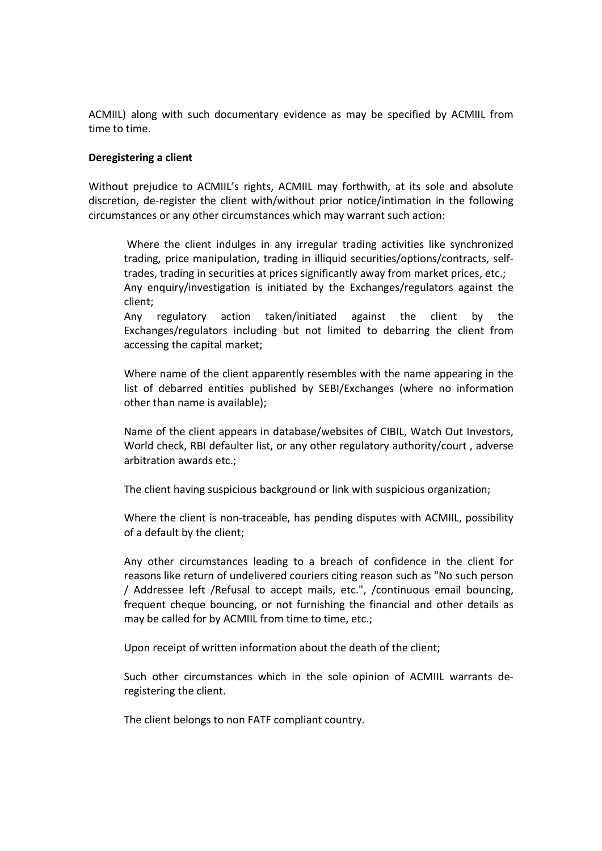ACMIIL) along with such documentary evidence as may be specified by ACMIIL from time to time.

### Deregistering a client

Without prejudice to ACMIIL's rights, ACMIIL may forthwith, at its sole and absolute discretion, de-register the client with/without prior notice/intimation in the following circumstances or any other circumstances which may warrant such action:

Where the client indulges in any irregular trading activities like synchronized trading, price manipulation, trading in illiquid securities/options/contracts, selftrades, trading in securities at prices significantly away from market prices, etc.; Any enquiry/investigation is initiated by the Exchanges/regulators against the client;

Any regulatory action taken/initiated against the client by the Exchanges/regulators including but not limited to debarring the client from accessing the capital market;

Where name of the client apparently resembles with the name appearing in the list of debarred entities published by SEBI/Exchanges (where no information other than name is available);

Name of the client appears in database/websites of CIBIL, Watch Out Investors, World check, RBI defaulter list, or any other regulatory authority/court , adverse arbitration awards etc.;

The client having suspicious background or link with suspicious organization;

Where the client is non-traceable, has pending disputes with ACMIIL, possibility of a default by the client;

Any other circumstances leading to a breach of confidence in the client for reasons like return of undelivered couriers citing reason such as "No such person / Addressee left /Refusal to accept mails, etc.", /continuous email bouncing, frequent cheque bouncing, or not furnishing the financial and other details as may be called for by ACMIIL from time to time, etc.;

Upon receipt of written information about the death of the client;

Such other circumstances which in the sole opinion of ACMIIL warrants deregistering the client.

The client belongs to non FATF compliant country.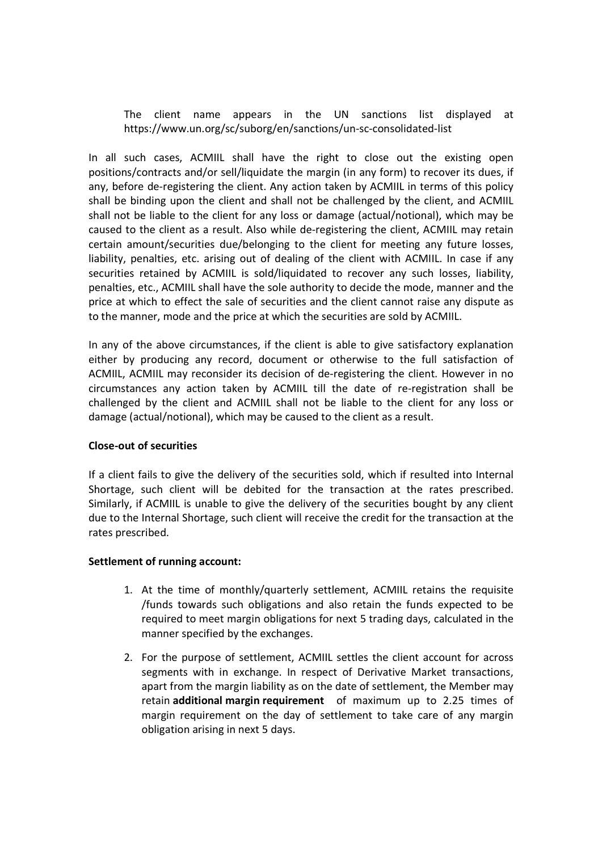The client name appears in the UN sanctions list displayed at https://www.un.org/sc/suborg/en/sanctions/un-sc-consolidated-list

In all such cases, ACMIIL shall have the right to close out the existing open positions/contracts and/or sell/liquidate the margin (in any form) to recover its dues, if any, before de-registering the client. Any action taken by ACMIIL in terms of this policy shall be binding upon the client and shall not be challenged by the client, and ACMIIL shall not be liable to the client for any loss or damage (actual/notional), which may be caused to the client as a result. Also while de-registering the client, ACMIIL may retain certain amount/securities due/belonging to the client for meeting any future losses, liability, penalties, etc. arising out of dealing of the client with ACMIIL. In case if any securities retained by ACMIIL is sold/liquidated to recover any such losses, liability, penalties, etc., ACMIIL shall have the sole authority to decide the mode, manner and the price at which to effect the sale of securities and the client cannot raise any dispute as to the manner, mode and the price at which the securities are sold by ACMIIL.

In any of the above circumstances, if the client is able to give satisfactory explanation either by producing any record, document or otherwise to the full satisfaction of ACMIIL, ACMIIL may reconsider its decision of de-registering the client. However in no circumstances any action taken by ACMIIL till the date of re-registration shall be challenged by the client and ACMIIL shall not be liable to the client for any loss or damage (actual/notional), which may be caused to the client as a result.

## Close-out of securities

If a client fails to give the delivery of the securities sold, which if resulted into Internal Shortage, such client will be debited for the transaction at the rates prescribed. Similarly, if ACMIIL is unable to give the delivery of the securities bought by any client due to the Internal Shortage, such client will receive the credit for the transaction at the rates prescribed.

### Settlement of running account:

- 1. At the time of monthly/quarterly settlement, ACMIIL retains the requisite /funds towards such obligations and also retain the funds expected to be required to meet margin obligations for next 5 trading days, calculated in the manner specified by the exchanges.
- 2. For the purpose of settlement, ACMIIL settles the client account for across segments with in exchange. In respect of Derivative Market transactions, apart from the margin liability as on the date of settlement, the Member may retain additional margin requirement of maximum up to 2.25 times of margin requirement on the day of settlement to take care of any margin obligation arising in next 5 days.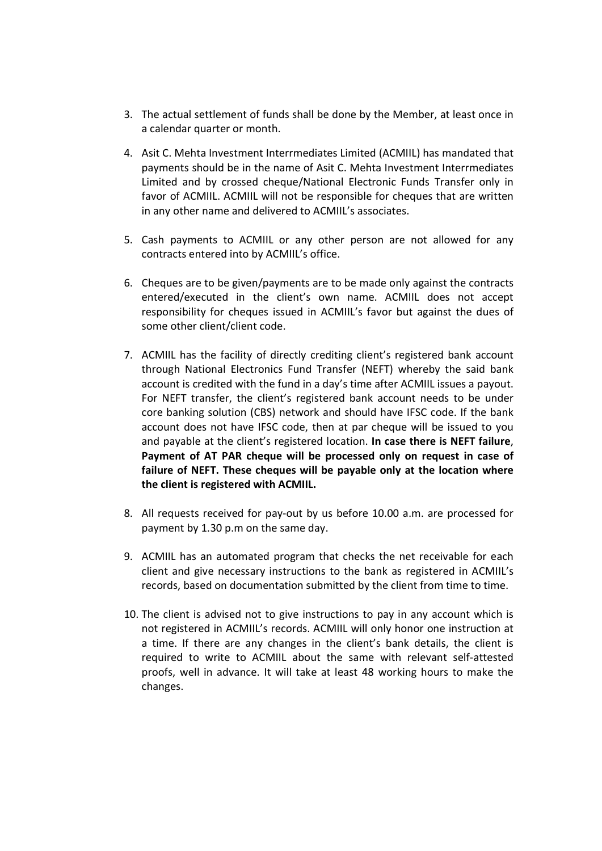- 3. The actual settlement of funds shall be done by the Member, at least once in a calendar quarter or month.
- 4. Asit C. Mehta Investment Interrmediates Limited (ACMIIL) has mandated that payments should be in the name of Asit C. Mehta Investment Interrmediates Limited and by crossed cheque/National Electronic Funds Transfer only in favor of ACMIIL. ACMIIL will not be responsible for cheques that are written in any other name and delivered to ACMIIL's associates.
- 5. Cash payments to ACMIIL or any other person are not allowed for any contracts entered into by ACMIIL's office.
- 6. Cheques are to be given/payments are to be made only against the contracts entered/executed in the client's own name. ACMIIL does not accept responsibility for cheques issued in ACMIIL's favor but against the dues of some other client/client code.
- 7. ACMIIL has the facility of directly crediting client's registered bank account through National Electronics Fund Transfer (NEFT) whereby the said bank account is credited with the fund in a day's time after ACMIIL issues a payout. For NEFT transfer, the client's registered bank account needs to be under core banking solution (CBS) network and should have IFSC code. If the bank account does not have IFSC code, then at par cheque will be issued to you and payable at the client's registered location. In case there is NEFT failure, Payment of AT PAR cheque will be processed only on request in case of failure of NEFT. These cheques will be payable only at the location where the client is registered with ACMIIL.
- 8. All requests received for pay-out by us before 10.00 a.m. are processed for payment by 1.30 p.m on the same day.
- 9. ACMIIL has an automated program that checks the net receivable for each client and give necessary instructions to the bank as registered in ACMIIL's records, based on documentation submitted by the client from time to time.
- 10. The client is advised not to give instructions to pay in any account which is not registered in ACMIIL's records. ACMIIL will only honor one instruction at a time. If there are any changes in the client's bank details, the client is required to write to ACMIIL about the same with relevant self-attested proofs, well in advance. It will take at least 48 working hours to make the changes.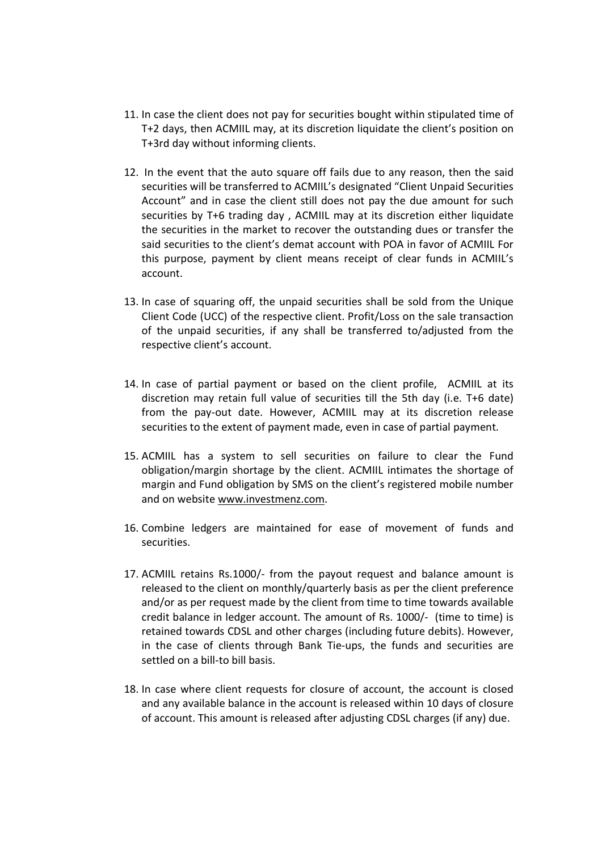- 11. In case the client does not pay for securities bought within stipulated time of T+2 days, then ACMIIL may, at its discretion liquidate the client's position on T+3rd day without informing clients.
- 12. In the event that the auto square off fails due to any reason, then the said securities will be transferred to ACMIIL's designated "Client Unpaid Securities Account" and in case the client still does not pay the due amount for such securities by T+6 trading day , ACMIIL may at its discretion either liquidate the securities in the market to recover the outstanding dues or transfer the said securities to the client's demat account with POA in favor of ACMIIL For this purpose, payment by client means receipt of clear funds in ACMIIL's account.
- 13. In case of squaring off, the unpaid securities shall be sold from the Unique Client Code (UCC) of the respective client. Profit/Loss on the sale transaction of the unpaid securities, if any shall be transferred to/adjusted from the respective client's account.
- 14. In case of partial payment or based on the client profile, ACMIIL at its discretion may retain full value of securities till the 5th day (i.e. T+6 date) from the pay-out date. However, ACMIIL may at its discretion release securities to the extent of payment made, even in case of partial payment.
- 15. ACMIIL has a system to sell securities on failure to clear the Fund obligation/margin shortage by the client. ACMIIL intimates the shortage of margin and Fund obligation by SMS on the client's registered mobile number and on website www.investmenz.com.
- 16. Combine ledgers are maintained for ease of movement of funds and securities.
- 17. ACMIIL retains Rs.1000/- from the payout request and balance amount is released to the client on monthly/quarterly basis as per the client preference and/or as per request made by the client from time to time towards available credit balance in ledger account. The amount of Rs. 1000/- (time to time) is retained towards CDSL and other charges (including future debits). However, in the case of clients through Bank Tie-ups, the funds and securities are settled on a bill-to bill basis.
- 18. In case where client requests for closure of account, the account is closed and any available balance in the account is released within 10 days of closure of account. This amount is released after adjusting CDSL charges (if any) due.